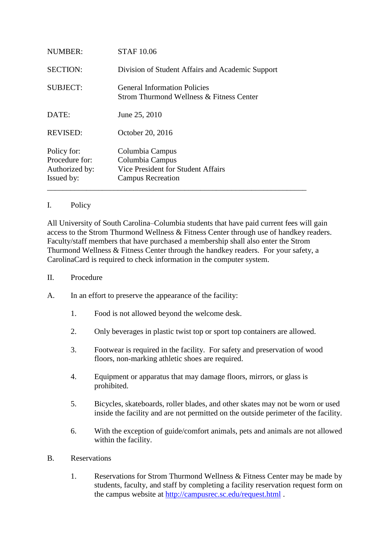| NUMBER:                                                       | <b>STAF 10.06</b>                                                                                    |
|---------------------------------------------------------------|------------------------------------------------------------------------------------------------------|
| <b>SECTION:</b>                                               | Division of Student Affairs and Academic Support                                                     |
| <b>SUBJECT:</b>                                               | <b>General Information Policies</b><br>Strom Thurmond Wellness & Fitness Center                      |
| DATE:                                                         | June 25, 2010                                                                                        |
| <b>REVISED:</b>                                               | October 20, 2016                                                                                     |
| Policy for:<br>Procedure for:<br>Authorized by:<br>Issued by: | Columbia Campus<br>Columbia Campus<br>Vice President for Student Affairs<br><b>Campus Recreation</b> |

## I. Policy

All University of South Carolina–Columbia students that have paid current fees will gain access to the Strom Thurmond Wellness & Fitness Center through use of handkey readers. Faculty/staff members that have purchased a membership shall also enter the Strom Thurmond Wellness & Fitness Center through the handkey readers. For your safety, a CarolinaCard is required to check information in the computer system.

- II. Procedure
- A. In an effort to preserve the appearance of the facility:
	- 1. Food is not allowed beyond the welcome desk.
	- 2. Only beverages in plastic twist top or sport top containers are allowed.
	- 3. Footwear is required in the facility. For safety and preservation of wood floors, non-marking athletic shoes are required.
	- 4. Equipment or apparatus that may damage floors, mirrors, or glass is prohibited.
	- 5. Bicycles, skateboards, roller blades, and other skates may not be worn or used inside the facility and are not permitted on the outside perimeter of the facility.
	- 6. With the exception of guide/comfort animals, pets and animals are not allowed within the facility.
- B. Reservations
	- 1. Reservations for Strom Thurmond Wellness & Fitness Center may be made by students, faculty, and staff by completing a facility reservation request form on the campus website at <http://campusrec.sc.edu/request.html> .